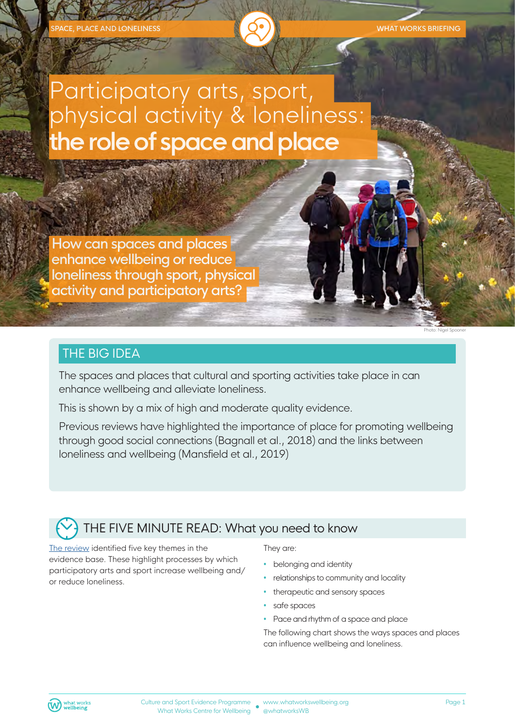# Participatory arts, sport, physical activity & loneliness: **the role of space and place**

How can spaces and places enhance wellbeing or reduce loneliness through sport, physical activity and participatory arts?

#### THE BIG IDEA

The spaces and places that cultural and sporting activities take place in can enhance wellbeing and alleviate loneliness.

This is shown by a mix of high and moderate quality evidence.

Previous reviews have highlighted the importance of place for promoting wellbeing through good social connections (Bagnall et al., 2018) and the links between loneliness and wellbeing (Mansfield et al., 2019)

# THE FIVE MINUTE READ: What you need to know

The review identified five key themes in the evidence base. These highlight processes by which participatory arts and sport increase wellbeing and/ or reduce loneliness.

#### They are:

- belonging and identity
- relationships to community and locality
- therapeutic and sensory spaces
- safe spaces
- Pace and rhythm of a space and place

The following chart shows the ways spaces and places can influence wellbeing and loneliness.



Photo: Nigel Spooner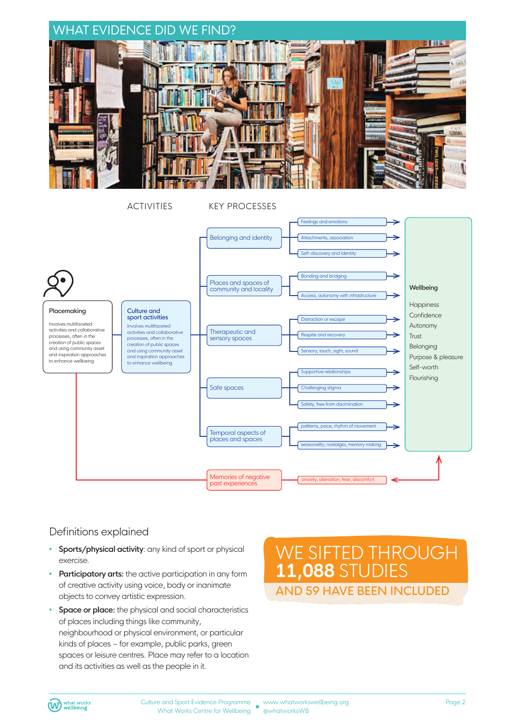

ACTIVITIES KEY PROCESSES



#### Definitions explained

- **Sports/physical activity**: any kind of sport or physical exercise.
- **Participatory arts:** the active participation in any form of creative activity using voice, body or inanimate objects to convey artistic expression.
- **Space or place:** the physical and social characteristics of places including things like community, neighbourhood or physical environment, or particular kinds of places – for example, public parks, green spaces or leisure centres. Place may refer to a location and its activities as well as the people in it.

# WE SIFTED THROUGH **11,088** STUDIES AND 59 HAVE BEEN INCLUDED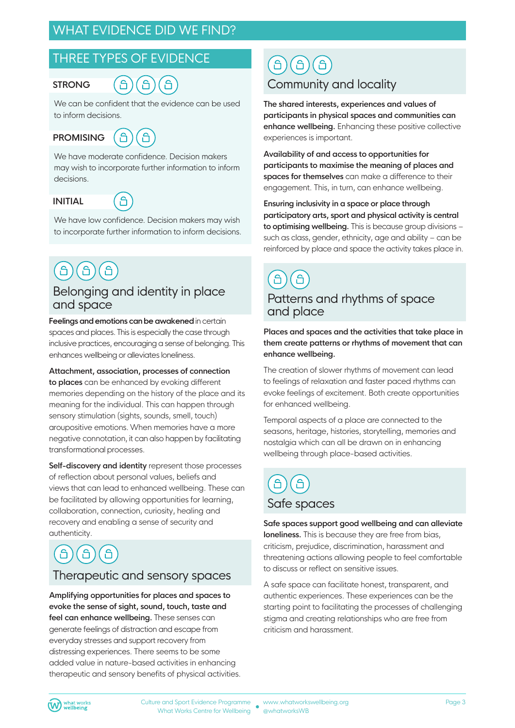### WHAT EVIDENCE DID WE FIND?

#### THREE TYPES OF EVIDENCE

#### **STRONG**



We can be confident that the evidence can be used to inform decisions.

**PROMISING** 



We have moderate confidence. Decision makers may wish to incorporate further information to inform decisions.

#### **INITIAL**

å

We have low confidence. Decision makers may wish to incorporate further information to inform decisions.

#### Belonging and identity in place and space

**Feelings and emotions can be awakened** in certain spaces and places. This is especially the case through inclusive practices, encouraging a sense of belonging. This enhances wellbeing or alleviates loneliness.

**Attachment, association, processes of connection to places** can be enhanced by evoking different memories depending on the history of the place and its meaning for the individual. This can happen through sensory stimulation (sights, sounds, smell, touch) aroupositive emotions. When memories have a more negative connotation, it can also happen by facilitating transformational processes.

**Self-discovery and identity** represent those processes of reflection about personal values, beliefs and views that can lead to enhanced wellbeing. These can be facilitated by allowing opportunities for learning, collaboration, connection, curiosity, healing and recovery and enabling a sense of security and authenticity.

# $\bigcap$

#### Therapeutic and sensory spaces

**Amplifying opportunities for places and spaces to evoke the sense of sight, sound, touch, taste and feel can enhance wellbeing.** These senses can generate feelings of distraction and escape from everyday stresses and support recovery from distressing experiences. There seems to be some added value in nature-based activities in enhancing therapeutic and sensory benefits of physical activities.

#### <u>ිපි</u>  $\Theta$ <u>ිර</u> Community and locality

**The shared interests, experiences and values of participants in physical spaces and communities can enhance wellbeing.** Enhancing these positive collective experiences is important.

**Availability of and access to opportunities for participants to maximise the meaning of places and spaces for themselves** can make a difference to their engagement. This, in turn, can enhance wellbeing.

**Ensuring inclusivity in a space or place through participatory arts, sport and physical activity is central to optimising wellbeing.** This is because group divisions – such as class, gender, ethnicity, age and ability – can be reinforced by place and space the activity takes place in.

C<br>1 â Patterns and rhythms of space and place

**Places and spaces and the activities that take place in them create patterns or rhythms of movement that can enhance wellbeing.**

The creation of slower rhythms of movement can lead to feelings of relaxation and faster paced rhythms can evoke feelings of excitement. Both create opportunities for enhanced wellbeing.

Temporal aspects of a place are connected to the seasons, heritage, histories, storytelling, memories and nostalgia which can all be drawn on in enhancing wellbeing through place-based activities.

# Safe spaces

**Safe spaces support good wellbeing and can alleviate loneliness.** This is because they are free from bias, criticism, prejudice, discrimination, harassment and threatening actions allowing people to feel comfortable to discuss or reflect on sensitive issues.

A safe space can facilitate honest, transparent, and authentic experiences. These experiences can be the starting point to facilitating the processes of challenging stigma and creating relationships who are free from criticism and harassment.